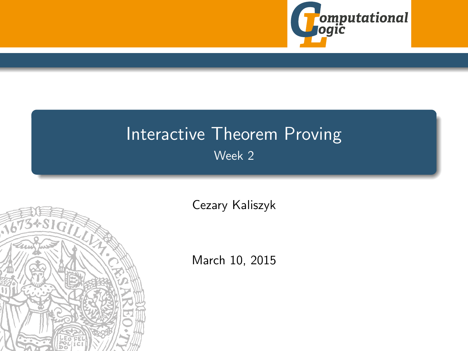

# <span id="page-0-0"></span>Interactive Theorem Proving Week 2



[Cezary Kaliszyk](http://cl-informatik.uibk.ac.at/~cek)

March 10, 2015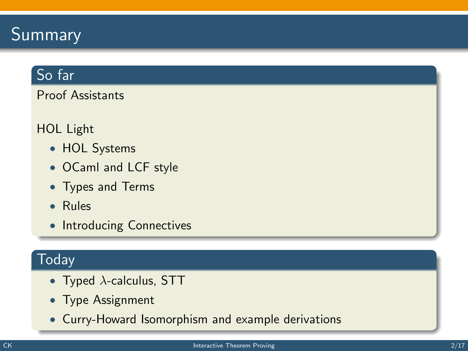# Summary

# So far

Proof Assistants

#### HOL Light

- HOL Systems
- OCaml and LCF style
- Types and Terms
- Rules
- Introducing Connectives

### Today

- Typed  $\lambda$ -calculus, STT
- Type Assignment
- Curry-Howard Isomorphism and example derivations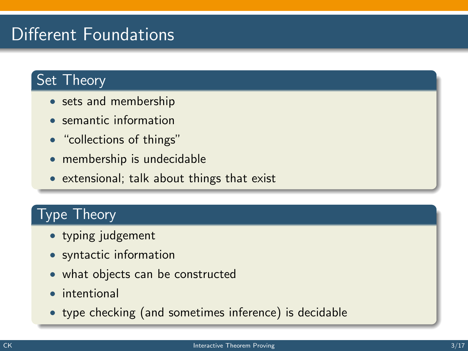# Different Foundations

# Set Theory

- sets and membership
- semantic information
- "collections of things"
- membership is undecidable
- extensional; talk about things that exist

### Type Theory

- typing judgement
- syntactic information
- what objects can be constructed
- intentional
- type checking (and sometimes inference) is decidable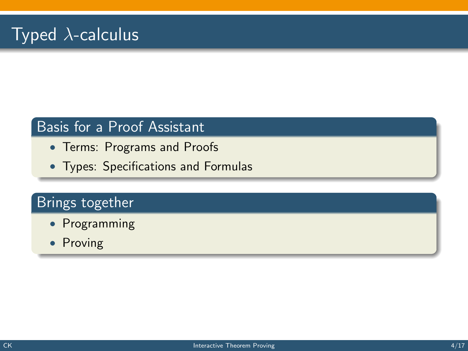### Basis for a Proof Assistant

- Terms: Programs and Proofs
- Types: Specifications and Formulas

# Brings together

- Programming
- Proving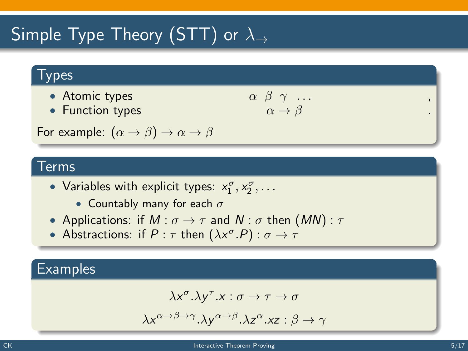# Simple Type Theory (STT) or  $\lambda_{\rightarrow}$

#### **Types**

- Atomic types  $\alpha$
- Function types

$$
\begin{array}{c}\n\beta & \gamma & \dots \\
\alpha & \rightarrow \beta\n\end{array}
$$

For example:  $(\alpha \rightarrow \beta) \rightarrow \alpha \rightarrow \beta$ 

#### Terms

- Variables with explicit types:  $x_1^{\sigma}, x_2^{\sigma}, \ldots$ 
	- Countably many for each  $\sigma$
- Applications: if  $M : \sigma \to \tau$  and  $N : \sigma$  then  $(MN) : \tau$
- Abstractions: if  $P : \tau$  then  $(\lambda x^{\sigma}.P) : \sigma \rightarrow \tau$

#### **Examples**

$$
\lambda x^{\sigma}.\lambda y^{\tau}.x:\sigma\to\tau\to\sigma
$$

$$
\lambda x^{\alpha \to \beta \to \gamma}.\lambda y^{\alpha \to \beta}.\lambda z^{\alpha}.xz : \beta \to \gamma
$$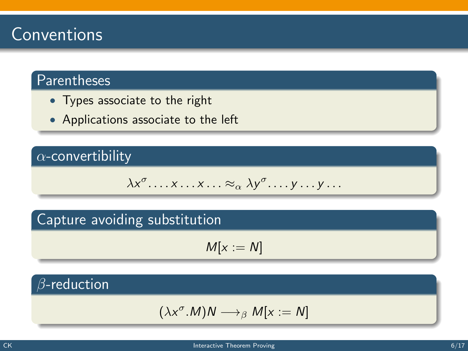# Conventions

# Parentheses

- Types associate to the right
- Applications associate to the left

### $\alpha$ -convertibility

$$
\lambda x^{\sigma} \dots x \dots x \dots \approx_{\alpha} \lambda y^{\sigma} \dots y \dots y \dots
$$

### Capture avoiding substitution

$$
M[x:=N]
$$

### $\beta$ -reduction

$$
(\lambda x^{\sigma}.M)N\longrightarrow_{\beta} M[x:=N]
$$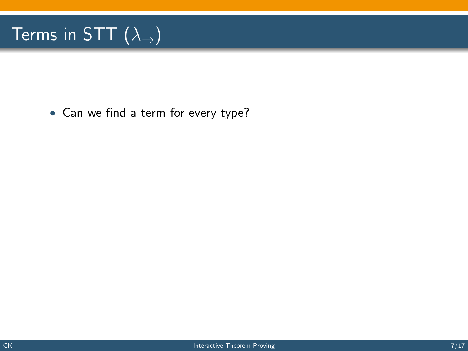# Terms in STT  $(\lambda_{\rightarrow})$

• Can we find a term for every type?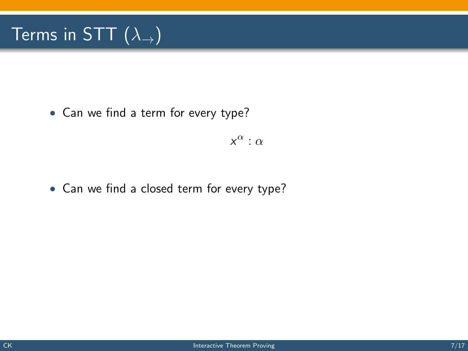# Terms in STT  $(\lambda_{\rightarrow})$

• Can we find a term for every type?

 $x^{\alpha}$  :  $\alpha$ 

• Can we find a closed term for every type?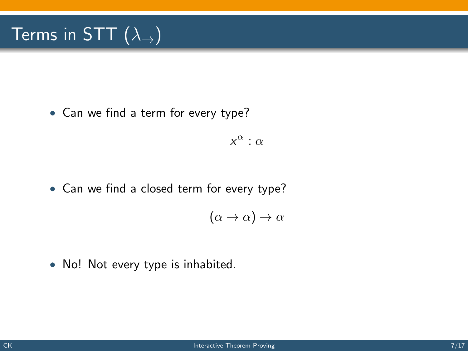# Terms in STT  $(\lambda_+)$

• Can we find a term for every type?

 $x^{\alpha}$  :  $\alpha$ 

• Can we find a closed term for every type?

$$
(\alpha \to \alpha) \to \alpha
$$

• No! Not every type is inhabited.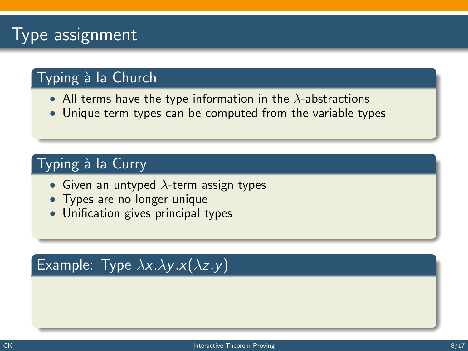# **Type assignment**

# Typing à la Church

- All terms have the type information in the  $\lambda$ -abstractions
- Unique term types can be computed from the variable types

# Typing à la Curry

- Given an untyped  $\lambda$ -term assign types
- Types are no longer unique
- Unification gives principal types

# Example: Type  $\lambda x.\lambda y.x(\lambda z.y)$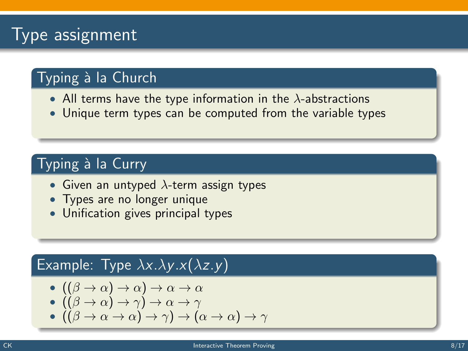# **Type assignment**

# Typing à la Church

- All terms have the type information in the  $\lambda$ -abstractions
- Unique term types can be computed from the variable types

# Typing à la Curry

- Given an untyped  $\lambda$ -term assign types
- Types are no longer unique
- Unification gives principal types

#### Example: Type  $\lambda x.\lambda y.x(\lambda z.y)$

$$
-((\beta \to \alpha) \to \alpha) \to \alpha \to \alpha
$$

$$
\bullet \: ((\beta \to \alpha) \to \gamma) \to \alpha \to \gamma
$$

$$
-((\beta \to \alpha \to \alpha) \to \gamma) \to (\alpha \to \alpha) \to \gamma
$$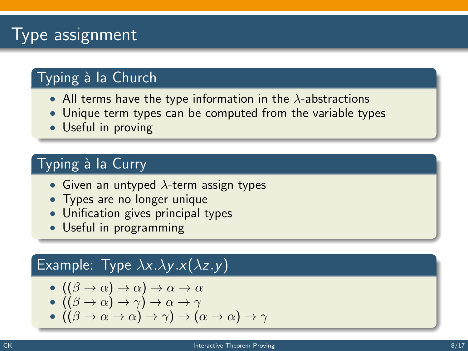# Type assignment

# Typing à la Church

- All terms have the type information in the  $\lambda$ -abstractions
- Unique term types can be computed from the variable types
- Useful in proving

# Typing à la Curry

- Given an untyped  $\lambda$ -term assign types
- Types are no longer unique
- Unification gives principal types
- Useful in programming

#### Example: Type  $\lambda x.\lambda y.x(\lambda z.y)$

$$
-((\beta \to \alpha) \to \alpha) \to \alpha \to \alpha
$$

$$
\bullet \: ((\beta \to \alpha) \to \gamma) \to \alpha \to \gamma
$$

$$
~\bullet~((\beta\rightarrow \alpha \rightarrow \alpha)\rightarrow \gamma)\rightarrow (\alpha\rightarrow \alpha)\rightarrow \gamma
$$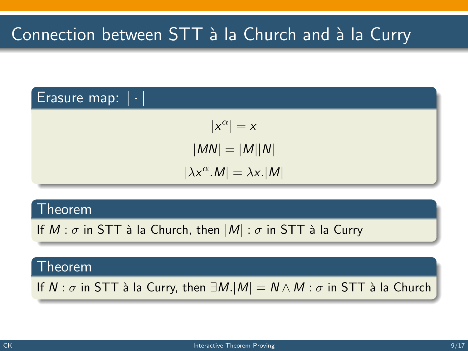#### Erasure map:  $|\cdot|$

$$
|x^{\alpha}| = x
$$

$$
|MN| = |M||N|
$$

$$
|\lambda x^{\alpha}.M| = \lambda x.|M|
$$

#### Theorem

If  $M : \sigma$  in STT à la Church, then  $|M| : \sigma$  in STT à la Curry

#### Theorem

If  $N : \sigma$  in STT à la Curry, then  $\exists M.|M| = N \wedge M : \sigma$  in STT à la Church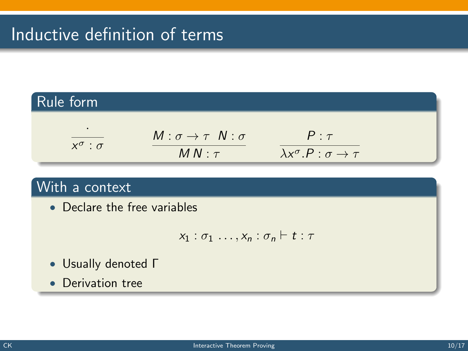# Inductive definition of terms

#### Rule form ·  $x^{\sigma}$  :  $\sigma$  $M : \sigma \rightarrow \tau N : \sigma$  $MN: \tau$  $P : \tau$  $\lambda x^{\sigma}.P : \sigma \rightarrow \tau$

### With a context

• Declare the free variables

$$
x_1 : \sigma_1 \ldots, x_n : \sigma_n \vdash t : \tau
$$

- Usually denoted Γ
- Derivation tree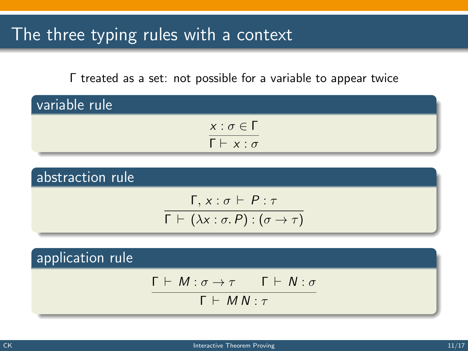# The three typing rules with a context

Γ treated as a set: not possible for a variable to appear twice

| variable rule |                            |  |
|---------------|----------------------------|--|
|               | $x : \sigma \in \Gamma$    |  |
|               | $\Gamma \vdash x : \sigma$ |  |

abstraction rule  $Γ, x : σ ⊢ P : τ$  $\Gamma \vdash (\lambda x : \sigma.\, P) : (\sigma \rightarrow \tau)$ 

application rule  $Γ ⊢ M : σ → τ$  Γ  $⊢ N : σ$  $Γ ⊢ M N : τ$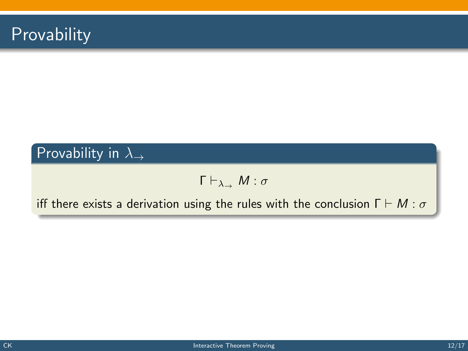

# Provability in  $\lambda$ <sub>→</sub>

$$
\Gamma\vdash_{\lambda_\rightarrow} M:\sigma
$$

iff there exists a derivation using the rules with the conclusion  $\Gamma \vdash M : \sigma$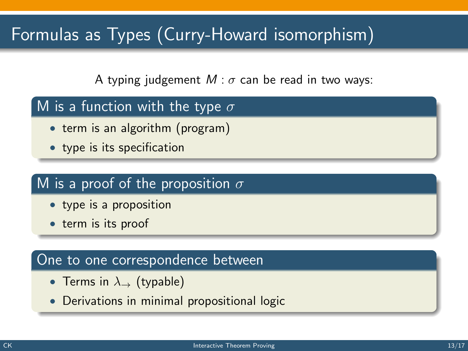# Formulas as Types (Curry-Howard isomorphism)

A typing judgement  $M : \sigma$  can be read in two ways:

### M is a function with the type  $\sigma$

- term is an algorithm (program)
- type is its specification

#### M is a proof of the proposition  $\sigma$

- type is a proposition
- term is its proof

#### One to one correspondence between

- Terms in  $\lambda_{\rightarrow}$  (typable)
- Derivations in minimal propositional logic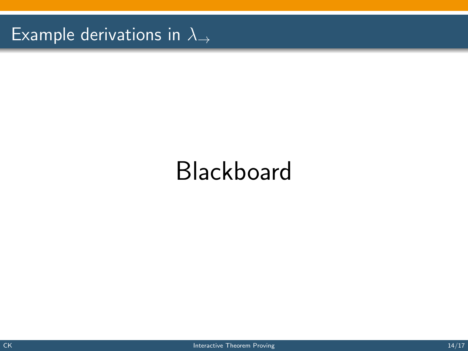Example derivations in  $\lambda_{\rightarrow}$ 

# Blackboard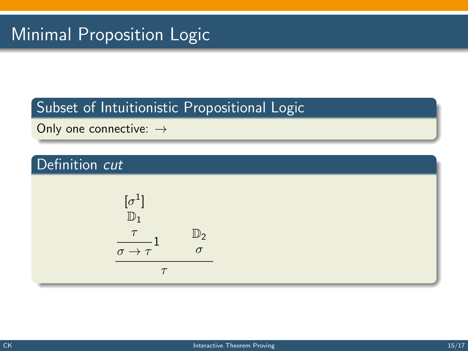# Subset of Intuitionistic Propositional Logic

Only one connective: →

# Definition cut

$$
\begin{array}{ccc}\n[\sigma^1] & & & \\
\mathbb{D}_1 & & & \\
\frac{\tau}{\sigma \to \tau} & & \sigma \\
\hline\n\tau & & & \\
\end{array}
$$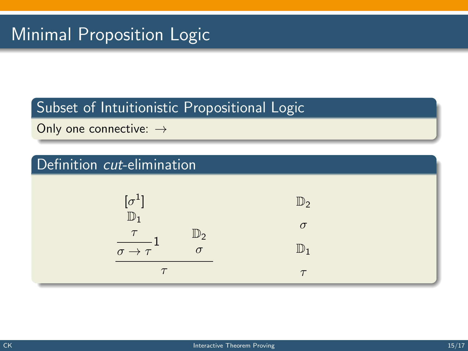### Subset of Intuitionistic Propositional Logic

Only one connective: →

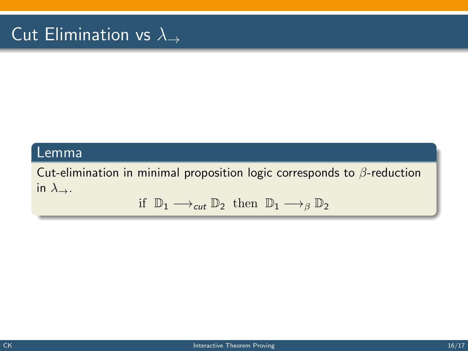# Cut Elimination vs  $\lambda_{\rightarrow}$

#### Lemma

Cut-elimination in minimal proposition logic corresponds to  $\beta$ -reduction in  $\lambda$ <sub>→</sub>.

$$
\text{if } \mathbb{D}_1 \longrightarrow_{\text{cut}} \mathbb{D}_2 \text{ then } \mathbb{D}_1 \longrightarrow_{\beta} \mathbb{D}_2
$$